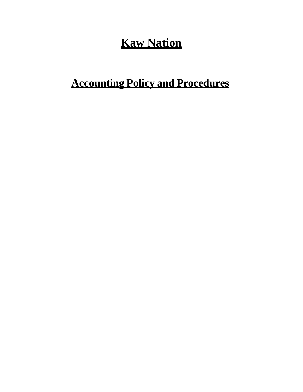# **Kaw Nation**

# **Accounting Policy and Procedures**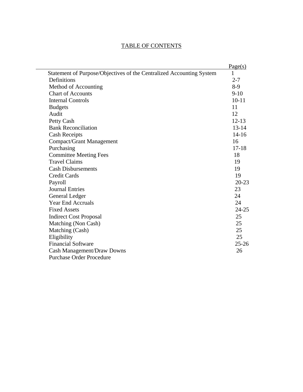|                                                                      | Page(s)   |
|----------------------------------------------------------------------|-----------|
| Statement of Purpose/Objectives of the Centralized Accounting System | 1         |
| Definitions                                                          | $2 - 7$   |
| Method of Accounting                                                 | $8-9$     |
| <b>Chart of Accounts</b>                                             | $9-10$    |
| <b>Internal Controls</b>                                             | $10 - 11$ |
| <b>Budgets</b>                                                       | 11        |
| Audit                                                                | 12        |
| Petty Cash                                                           | $12 - 13$ |
| <b>Bank Reconciliation</b>                                           | $13 - 14$ |
| <b>Cash Receipts</b>                                                 | $14 - 16$ |
| <b>Compact/Grant Management</b>                                      | 16        |
| Purchasing                                                           | $17 - 18$ |
| <b>Committee Meeting Fees</b>                                        | 18        |
| <b>Travel Claims</b>                                                 | 19        |
| <b>Cash Disbursements</b>                                            | 19        |
| <b>Credit Cards</b>                                                  | 19        |
| Payroll                                                              | $20 - 23$ |
| <b>Journal Entries</b>                                               | 23        |
| General Ledger                                                       | 24        |
| <b>Year End Accruals</b>                                             | 24        |
| <b>Fixed Assets</b>                                                  | $24 - 25$ |
| <b>Indirect Cost Proposal</b>                                        | 25        |
| Matching (Non Cash)                                                  | 25        |
| Matching (Cash)                                                      | 25        |
| Eligibility                                                          | 25        |
| <b>Financial Software</b>                                            | $25 - 26$ |
| Cash Management/Draw Downs                                           | 26        |
| <b>Purchase Order Procedure</b>                                      |           |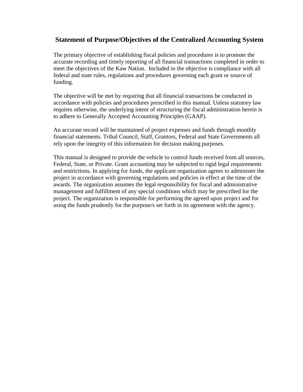#### **Statement of Purpose/Objectives of the Centralized Accounting System**

The primary objective of establishing fiscal policies and procedures is to promote the accurate recording and timely reporting of all financial transactions completed in order to meet the objectives of the Kaw Nation. Included in the objective is compliance with all federal and state rules, regulations and procedures governing each grant or source of funding.

The objective will be met by requiring that all financial transactions be conducted in accordance with policies and procedures prescribed in this manual. Unless statutory law requires otherwise, the underlying intent of structuring the fiscal administration herein is to adhere to Generally Accepted Accounting Principles (GAAP).

An accurate record will be maintained of project expenses and funds through monthly financial statements. Tribal Council, Staff, Grantors, Federal and State Governments all rely upon the integrity of this information for decision making purposes.

This manual is designed to provide the vehicle to control funds received from all sources, Federal, State, or Private. Grant accounting may be subjected to rigid legal requirements and restrictions. In applying for funds, the applicant organization agrees to administer the project in accordance with governing regulations and policies in effect at the time of the awards. The organization assumes the legal responsibility for fiscal and administrative management and fulfillment of any special conditions which may be prescribed for the project. The organization is responsible for performing the agreed upon project and for using the funds prudently for the purpose/s set forth in its agreement with the agency.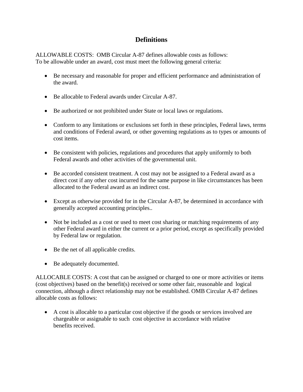## **Definitions**

ALLOWABLE COSTS: OMB Circular A-87 defines allowable costs as follows: To be allowable under an award, cost must meet the following general criteria:

- Be necessary and reasonable for proper and efficient performance and administration of the award.
- Be allocable to Federal awards under Circular A-87.
- Be authorized or not prohibited under State or local laws or regulations.
- Conform to any limitations or exclusions set forth in these principles, Federal laws, terms and conditions of Federal award, or other governing regulations as to types or amounts of cost items.
- Be consistent with policies, regulations and procedures that apply uniformly to both Federal awards and other activities of the governmental unit.
- Be accorded consistent treatment. A cost may not be assigned to a Federal award as a direct cost if any other cost incurred for the same purpose in like circumstances has been allocated to the Federal award as an indirect cost.
- Except as otherwise provided for in the Circular A-87, be determined in accordance with generally accepted accounting principles..
- Not be included as a cost or used to meet cost sharing or matching requirements of any other Federal award in either the current or a prior period, except as specifically provided by Federal law or regulation.
- Be the net of all applicable credits.
- Be adequately documented.

ALLOCABLE COSTS: A cost that can be assigned or charged to one or more activities or items (cost objectives) based on the benefit(s) received or some other fair, reasonable and logical connection, although a direct relationship may not be established. OMB Circular A-87 defines allocable costs as follows:

 A cost is allocable to a particular cost objective if the goods or services involved are chargeable or assignable to such cost objective in accordance with relative benefits received.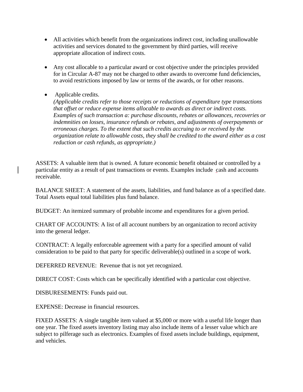- All activities which benefit from the organizations indirect cost, including unallowable activities and services donated to the government by third parties, will receive appropriate allocation of indirect costs.
- Any cost allocable to a particular award or cost objective under the principles provided for in Circular A-87 may not be charged to other awards to overcome fund deficiencies, to avoid restrictions imposed by law or terms of the awards, or for other reasons.
- Applicable credits.

*(Applicable credits refer to those receipts or reductions of expenditure type transactions that offset or reduce expense items allocable to awards as direct or indirect costs. Examples of such transaction a: purchase discounts, rebates or allowances, recoveries or indemnities on losses, insurance refunds or rebates, and adjustments of overpayments or erroneous charges. To the extent that such credits accruing to or received by the organization relate to allowable costs, they shall be credited to the award either as a cost reduction or cash refunds, as appropriate.)*

ASSETS: A valuable item that is owned. A future economic benefit obtained or controlled by a particular entity as a result of past transactions or events. Examples include cash and accounts receivable.

BALANCE SHEET: A statement of the assets, liabilities, and fund balance as of a specified date. Total Assets equal total liabilities plus fund balance.

BUDGET: An itemized summary of probable income and expenditures for a given period.

CHART OF ACCOUNTS: A list of all account numbers by an organization to record activity into the general ledger.

CONTRACT: A legally enforceable agreement with a party for a specified amount of valid consideration to be paid to that party for specific deliverable(s) outlined in a scope of work.

DEFERRED REVENUE: Revenue that is not yet recognized.

DIRECT COST: Costs which can be specifically identified with a particular cost objective.

DISBURESEMENTS: Funds paid out.

EXPENSE: Decrease in financial resources.

FIXED ASSETS: A single tangible item valued at \$5,000 or more with a useful life longer than one year. The fixed assets inventory listing may also include items of a lesser value which are subject to pilferage such as electronics. Examples of fixed assets include buildings, equipment, and vehicles.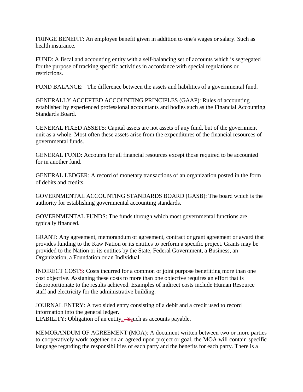FRINGE BENEFIT: An employee benefit given in addition to one's wages or salary. Such as health insurance.

FUND: A fiscal and accounting entity with a self-balancing set of accounts which is segregated for the purpose of tracking specific activities in accordance with special regulations or restrictions.

FUND BALANCE: The difference between the assets and liabilities of a governmental fund.

GENERALLY ACCEPTED ACCOUNTING PRINCIPLES (GAAP): Rules of accounting established by experienced professional accountants and bodies such as the Financial Accounting Standards Board.

GENERAL FIXED ASSETS: Capital assets are not assets of any fund, but of the government unit as a whole. Most often these assets arise from the expenditures of the financial resources of governmental funds.

GENERAL FUND: Accounts for all financial resources except those required to be accounted for in another fund.

GENERAL LEDGER: A record of monetary transactions of an organization posted in the form of debits and credits.

GOVERNMENTAL ACCOUNTING STANDARDS BOARD (GASB): The board which is the authority for establishing governmental accounting standards.

GOVERNMENTAL FUNDS: The funds through which most governmental functions are typically financed.

GRANT: Any agreement, memorandum of agreement, contract or grant agreement or award that provides funding to the Kaw Nation or its entities to perform a specific project. Grants may be provided to the Nation or its entities by the State, Federal Government, a Business, an Organization, a Foundation or an Individual.

INDIRECT COSTS: Costs incurred for a common or joint purpose benefitting more than one cost objective. Assigning these costs to more than one objective requires an effort that is disproportionate to the results achieved. Examples of indirect costs include Human Resource staff and electricity for the administrative building.

JOURNAL ENTRY: A two sided entry consisting of a debit and a credit used to record information into the general ledger. LIABILITY: Obligation of an entity,  $\frac{1}{100}$  as accounts payable.

MEMORANDUM OF AGREEMENT (MOA): A document written between two or more parties to cooperatively work together on an agreed upon project or goal, the MOA will contain specific language regarding the responsibilities of each party and the benefits for each party. There is a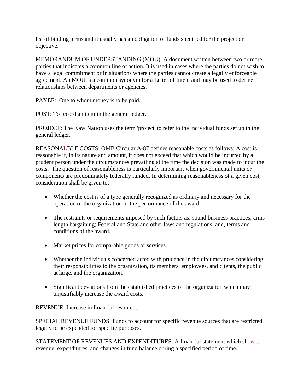list of binding terms and it usually has an obligation of funds specified for the project or objective.

MEMORANDUM OF UNDERSTANDING (MOU): A document written between two or more parties that indicates a common line of action. It is used in cases where the parties do not wish to have a legal commitment or in situations where the parties cannot create a legally enforceable agreement. An MOU is a common synonym for a Letter of Intent and may be used to define relationships between departments or agencies.

PAYEE: One to whom money is to be paid.

POST: To record an item in the general ledger.

PROJECT: The Kaw Nation uses the term 'project' to refer to the individual funds set up in the general ledger.

REASONALBLE COSTS: OMB Circular A-87 defines reasonable costs as follows: A cost is reasonable if, in its nature and amount, it does not exceed that which would be incurred by a prudent person under the circumstances prevailing at the time the decision was made to incur the costs. The question of reasonableness is particularly important when governmental units or components are predominately federally funded. In determining reasonableness of a given cost, consideration shall be given to:

- Whether the cost is of a type generally recognized as ordinary and necessary for the operation of the organization or the performance of the award.
- The restraints or requirements imposed by such factors as: sound business practices; arms length bargaining; Federal and State and other laws and regulations; and, terms and conditions of the award.
- Market prices for comparable goods or services.
- Whether the individuals concerned acted with prudence in the circumstances considering their responsibilities to the organization, its members, employees, and clients, the public at large, and the organization.
- Significant deviations from the established practices of the organization which may unjustifiably increase the award costs.

REVENUE: Increase in financial resources.

SPECIAL REVENUE FUNDS: Funds to account for specific revenue sources that are restricted legally to be expended for specific purposes.

STATEMENT OF REVENUES AND EXPENDITURES: A financial statement which showes revenue, expenditures, and changes in fund balance during a specified period of time.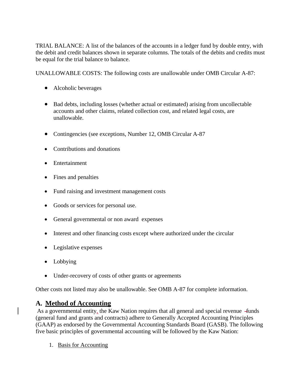TRIAL BALANCE: A list of the balances of the accounts in a ledger fund by double entry, with the debit and credit balances shown in separate columns. The totals of the debits and credits must be equal for the trial balance to balance.

UNALLOWABLE COSTS: The following costs are unallowable under OMB Circular A-87:

- Alcoholic beverages
- Bad debts, including losses (whether actual or estimated) arising from uncollectable accounts and other claims, related collection cost, and related legal costs, are unallowable.
- Contingencies (see exceptions, Number 12, OMB Circular A-87
- Contributions and donations
- Entertainment
- Fines and penalties
- Fund raising and investment management costs
- Goods or services for personal use.
- General governmental or non award expenses
- Interest and other financing costs except where authorized under the circular
- Legislative expenses
- Lobbying
- Under-recovery of costs of other grants or agreements

Other costs not listed may also be unallowable. See OMB A-87 for complete information.

#### **A. Method of Accounting**

As a governmental entity, the Kaw Nation requires that all general and special revenue funds (general fund and grants and contracts) adhere to Generally Accepted Accounting Principles (GAAP) as endorsed by the Governmental Accounting Standards Board (GASB). The following five basic principles of governmental accounting will be followed by the Kaw Nation:

1. Basis for Accounting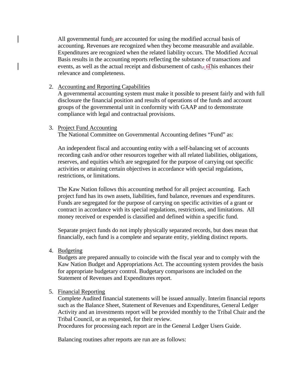All governmental funds are accounted for using the modified accrual basis of accounting. Revenues are recognized when they become measurable and available. Expenditures are recognized when the related liability occurs. The Modified Accrual Basis results in the accounting reports reflecting the substance of transactions and events, as well as the actual receipt and disbursement of cash.  $\pm$ This enhances their relevance and completeness.

#### 2. Accounting and Reporting Capabilities

A governmental accounting system must make it possible to present fairly and with full disclosure the financial position and results of operations of the funds and account groups of the governmental unit in conformity with GAAP and to demonstrate compliance with legal and contractual provisions.

#### 3. Project Fund Accounting

The National Committee on Governmental Accounting defines "Fund" as:

An independent fiscal and accounting entity with a self-balancing set of accounts recording cash and/or other resources together with all related liabilities, obligations, reserves, and equities which are segregated for the purpose of carrying out specific activities or attaining certain objectives in accordance with special regulations, restrictions, or limitations.

The Kaw Nation follows this accounting method for all project accounting. Each project fund has its own assets, liabilities, fund balance, revenues and expenditures. Funds are segregated for the purpose of carrying on specific activities of a grant or contract in accordance with its special regulations, restrictions, and limitations. All money received or expended is classified and defined within a specific fund.

Separate project funds do not imply physically separated records, but does mean that financially, each fund is a complete and separate entity, yielding distinct reports.

4. Budgeting

Budgets are prepared annually to coincide with the fiscal year and to comply with the Kaw Nation Budget and Appropriations Act. The accounting system provides the basis for appropriate budgetary control. Budgetary comparisons are included on the Statement of Revenues and Expenditures report.

#### 5. Financial Reporting

Complete Audited financial statements will be issued annually. Interim financial reports such as the Balance Sheet, Statement of Revenues and Expenditures, General Ledger Activity and an investments report will be provided monthly to the Tribal Chair and the Tribal Council, or as requested, for their review.

Procedures for processing each report are in the General Ledger Users Guide.

Balancing routines after reports are run are as follows: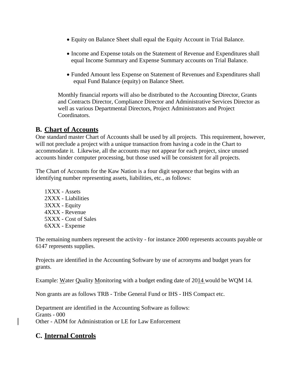- Equity on Balance Sheet shall equal the Equity Account in Trial Balance.
- Income and Expense totals on the Statement of Revenue and Expenditures shall equal Income Summary and Expense Summary accounts on Trial Balance.
- Funded Amount less Expense on Statement of Revenues and Expenditures shall equal Fund Balance (equity) on Balance Sheet.

Monthly financial reports will also be distributed to the Accounting Director, Grants and Contracts Director, Compliance Director and Administrative Services Director as well as various Departmental Directors, Project Administrators and Project Coordinators.

#### **B. Chart of Accounts**

One standard master Chart of Accounts shall be used by all projects. This requirement, however, will not preclude a project with a unique transaction from having a code in the Chart to accommodate it. Likewise, all the accounts may not appear for each project, since unused accounts hinder computer processing, but those used will be consistent for all projects.

The Chart of Accounts for the Kaw Nation is a four digit sequence that begins with an identifying number representing assets, liabilities, etc., as follows:

1XXX - Assets 2XXX - Liabilities 3XXX - Equity 4XXX - Revenue 5XXX - Cost of Sales 6XXX - Expense

The remaining numbers represent the activity - for instance 2000 represents accounts payable or 6147 represents supplies.

Projects are identified in the Accounting Software by use of acronyms and budget years for grants.

Example: Water Quality Monitoring with a budget ending date of 2014 would be WQM 14.

Non grants are as follows TRB - Tribe General Fund or IHS - IHS Compact etc.

Department are identified in the Accounting Software as follows: Grants - 000 Other - ADM for Administration or LE for Law Enforcement

## **C. Internal Controls**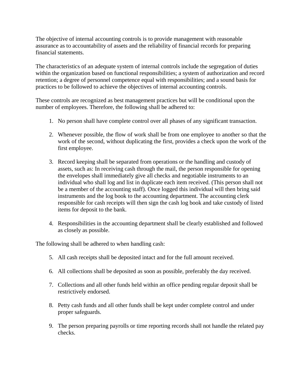The objective of internal accounting controls is to provide management with reasonable assurance as to accountability of assets and the reliability of financial records for preparing financial statements.

The characteristics of an adequate system of internal controls include the segregation of duties within the organization based on functional responsibilities; a system of authorization and record retention; a degree of personnel competence equal with responsibilities; and a sound basis for practices to be followed to achieve the objectives of internal accounting controls.

These controls are recognized as best management practices but will be conditional upon the number of employees. Therefore, the following shall be adhered to:

- 1. No person shall have complete control over all phases of any significant transaction.
- 2. Whenever possible, the flow of work shall be from one employee to another so that the work of the second, without duplicating the first, provides a check upon the work of the first employee.
- 3. Record keeping shall be separated from operations or the handling and custody of assets, such as: In receiving cash through the mail, the person responsible for opening the envelopes shall immediately give all checks and negotiable instruments to an individual who shall log and list in duplicate each item received. (This person shall not be a member of the accounting staff). Once logged this individual will then bring said instruments and the log book to the accounting department. The accounting clerk responsible for cash receipts will then sign the cash log book and take custody of listed items for deposit to the bank.
- 4. Responsibilities in the accounting department shall be clearly established and followed as closely as possible.

The following shall be adhered to when handling cash:

- 5. All cash receipts shall be deposited intact and for the full amount received.
- 6. All collections shall be deposited as soon as possible, preferably the day received.
- 7. Collections and all other funds held within an office pending regular deposit shall be restrictively endorsed.
- 8. Petty cash funds and all other funds shall be kept under complete control and under proper safeguards.
- 9. The person preparing payrolls or time reporting records shall not handle the related pay checks.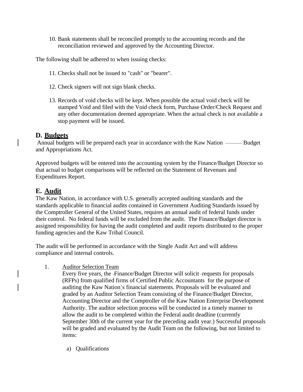10. Bank statements shall be reconciled promptly to the accounting records and the reconciliation reviewed and approved by the Accounting Director.

The following shall be adhered to when issuing checks:

- 11. Checks shall not be issued to "cash" or "bearer".
- 12. Check signers will not sign blank checks.
- 13. Records of void checks will be kept. When possible the actual void check will be stamped Void and filed with the Void check form, Purchase Order/Check Request and any other documentation deemed appropriate. When the actual check is not available a stop payment will be issued.

#### **D. Budgets**

Annual budgets will be prepared each year in accordance with the Kaw Nation —— Budget and Appropriations Act.

Approved budgets will be entered into the accounting system by the Finance/Budget Director so that actual to budget comparisons will be reflected on the Statement of Revenues and Expenditures Report.

## **E. Audit**

The Kaw Nation, in accordance with U.S. generally accepted auditing standards and the standards applicable to financial audits contained in Government Auditing Standards issued by the Comptroller General of the United States, requires an annual audit of federal funds under their control. No federal funds will be excluded from the audit. The Finance/Budget director is assigned responsibility for having the audit completed and audit reports distributed to the proper funding agencies and the Kaw Tribal Council.

The audit will be performed in accordance with the Single Audit Act and will address compliance and internal controls.

1. Auditor Selection Team

Every five years, the Finance/Budget Director will solicit requests for proposals (RFPs) from qualified firms of Certified Public Accountants for the purpose of auditing the Kaw Nation's financial statements. Proposals will be evaluated and graded by an Auditor Selection Team consisting of the Finance/Budget Director, Accounting Director and the Comptroller of the Kaw Nation Enterprise Development Authority. The auditor selection process will be conducted in a timely manner to allow the audit to be completed within the Federal audit deadline (currently September 30th of the current year for the preceding audit year.) Successful proposals will be graded and evaluated by the Audit Team on the following, but not limited to items:

a) Qualifications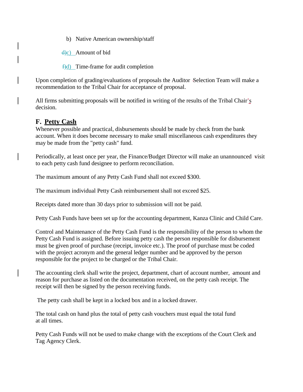b) Native American ownership/staff

 $\frac{d}{c}$  Amount of bid

 $\uparrow$ d) Time-frame for audit completion

Upon completion of grading/evaluations of proposals the Auditor Selection Team will make a recommendation to the Tribal Chair for acceptance of proposal.

All firms submitting proposals will be notified in writing of the results of the Tribal Chair's decision.

## **F. Petty Cash**

Whenever possible and practical, disbursements should be made by check from the bank account. When it does become necessary to make small miscellaneous cash expenditures they may be made from the "petty cash" fund.

Periodically, at least once per year, the Finance/Budget Director will make an unannounced visit to each petty cash fund designee to perform reconciliation.

The maximum amount of any Petty Cash Fund shall not exceed \$300.

The maximum individual Petty Cash reimbursement shall not exceed \$25.

Receipts dated more than 30 days prior to submission will not be paid.

Petty Cash Funds have been set up for the accounting department, Kanza Clinic and Child Care.

Control and Maintenance of the Petty Cash Fund is the responsibility of the person to whom the Petty Cash Fund is assigned. Before issuing petty cash the person responsible for disbursement must be given proof of purchase (receipt, invoice etc.). The proof of purchase must be coded with the project acronym and the general ledger number and be approved by the person responsible for the project to be charged or the Tribal Chair.

The accounting clerk shall write the project, department, chart of account number, amount and reason for purchase as listed on the documentation received, on the petty cash receipt. The receipt will then be signed by the person receiving funds.

The petty cash shall be kept in a locked box and in a locked drawer.

The total cash on hand plus the total of petty cash vouchers must equal the total fund at all times.

Petty Cash Funds will not be used to make change with the exceptions of the Court Clerk and Tag Agency Clerk.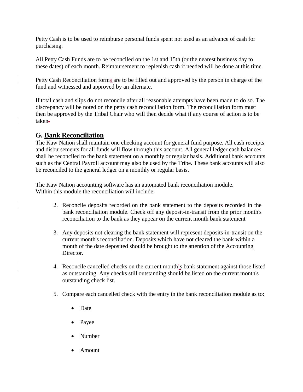Petty Cash is to be used to reimburse personal funds spent not used as an advance of cash for purchasing.

All Petty Cash Funds are to be reconciled on the 1st and 15th (or the nearest business day to these dates) of each month. Reimbursement to replenish cash if needed will be done at this time.

Petty Cash Reconciliation forms are to be filled out and approved by the person in charge of the fund and witnessed and approved by an alternate.

If total cash and slips do not reconcile after all reasonable attempts have been made to do so. The discrepancy will be noted on the petty cash reconciliation form. The reconciliation form must then be approved by the Tribal Chair who will then decide what if any course of action is to be taken.

### **G. Bank Reconciliation**

The Kaw Nation shall maintain one checking account for general fund purpose. All cash receipts and disbursements for all funds will flow through this account. All general ledger cash balances shall be reconciled to the bank statement on a monthly or regular basis. Additional bank accounts such as the Central Payroll account may also be used by the Tribe. These bank accounts will also be reconciled to the general ledger on a monthly or regular basis.

The Kaw Nation accounting software has an automated bank reconciliation module. Within this module the reconciliation will include:

- 2. Reconcile deposits recorded on the bank statement to the deposits recorded in the bank reconciliation module. Check off any deposit-in-transit from the prior month's reconciliation to the bank as they appear on the current month bank statement
- 3. Any deposits not clearing the bank statement will represent deposits-in-transit on the current month's reconciliation. Deposits which have not cleared the bank within a month of the date deposited should be brought to the attention of the Accounting Director.
- 4. Reconcile cancelled checks on the current month's bank statement against those listed as outstanding. Any checks still outstanding should be listed on the current month's outstanding check list.
- 5. Compare each cancelled check with the entry in the bank reconciliation module as to:
	- Date
	- Payee
	- Number
	- Amount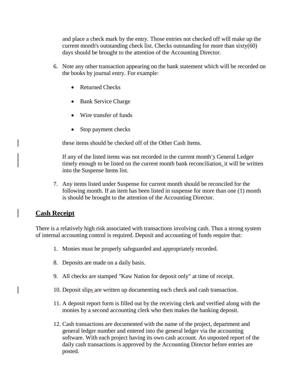and place a check mark by the entry. Those entries not checked off will make up the current month's outstanding check list. Checks outstanding for more than sixty(60) days should be brought to the attention of the Accounting Director.

- 6. Note any other transaction appearing on the bank statement which will be recorded on the books by journal entry. For example:
	- Returned Checks
	- Bank Service Charge
	- Wire transfer of funds
	- Stop payment checks

these items should be checked off of the Other Cash Items.

If any of the listed items was not recorded in the current month's General Ledger timely enough to be listed on the current month bank reconciliation, it will be written into the Suspense Items list.

7. Any items listed under Suspense for current month should be reconciled for the following month. If an item has been listed in suspense for more than one (1) month is should be brought to the attention of the Accounting Director.

## **Cash Receipt**

There is a relatively high risk associated with transactions involving cash. Thus a strong system of internal accounting control is required. Deposit and accounting of funds require that:

- 1. Monies must be properly safeguarded and appropriately recorded.
- 8. Deposits are made on a daily basis.
- 9. All checks are stamped "Kaw Nation for deposit only" at time of receipt.
- 10. Deposit slips are written up documenting each check and cash transaction.
- 11. A deposit report form is filled out by the receiving clerk and verified along with the monies by a second accounting clerk who then makes the banking deposit.
- 12. Cash transactions are documented with the name of the project, department and general ledger number and entered into the general ledger via the accounting software. With each project having its own cash account. An unposted report of the daily cash transactions is approved by the Accounting Director before entries are posted.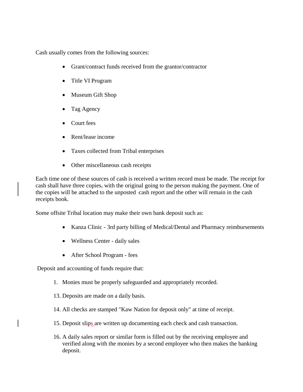Cash usually comes from the following sources:

- Grant/contract funds received from the grantor/contractor
- Title VI Program
- Museum Gift Shop
- Tag Agency
- Court fees
- Rent/lease income
- Taxes collected from Tribal enterprises
- Other miscellaneous cash receipts

Each time one of these sources of cash is received a written record must be made. The receipt for cash shall have three copies, with the original going to the person making the payment. One of the copies will be attached to the unposted cash report and the other will remain in the cash receipts book.

Some offsite Tribal location may make their own bank deposit such as:

- Kanza Clinic 3rd party billing of Medical/Dental and Pharmacy reimbursements
- Wellness Center daily sales
- After School Program fees

Deposit and accounting of funds require that:

- 1. Monies must be properly safeguarded and appropriately recorded.
- 13. Deposits are made on a daily basis.
- 14. All checks are stamped "Kaw Nation for deposit only" at time of receipt.
- 15. Deposit slips are written up documenting each check and cash transaction.
- 16. A daily sales report or similar form is filled out by the receiving employee and verified along with the monies by a second employee who then makes the banking deposit.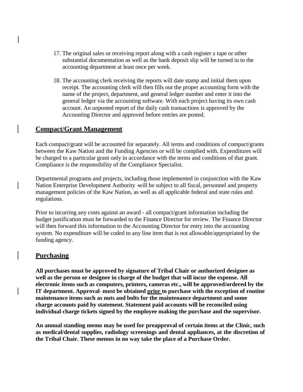- 17. The original sales or receiving report along with a cash register z tape or other substantial documentation as well as the bank deposit slip will be turned in to the accounting department at least once per week.
- 18. The accounting clerk receiving the reports will date stamp and initial them upon receipt. The accounting clerk will then fills out the proper accounting form with the name of the project, department, and general ledger number and enter it into the general ledger via the accounting software. With each project having its own cash account. An unposted report of the daily cash transactions is approved by the Accounting Director and approved before entries are posted.

### **Compact/Grant Management**

Each compact/grant will be accounted for separately. All terms and conditions of compact/grants between the Kaw Nation and the Funding Agencies or will be complied with. Expenditures will be charged to a particular grant only in accordance with the terms and conditions of that grant. Compliance is the responsibility of the Compliance Specialist.

Departmental programs and projects, including those implemented in conjunction with the Kaw Nation Enterprise Development Authority will be subject to all fiscal, personnel and property management policies of the Kaw Nation, as well as all applicable federal and state rules and regulations.

Prior to incurring any costs against an award - all compact/grant information including the budget justification must be forwarded to the Finance Director for review. The Finance Director will then forward this information to the Accounting Director for entry into the accounting system. No expenditure will be coded to any line item that is not allowable/appropriated by the funding agency.

#### **Purchasing**

**All purchases must be approved by signature of Tribal Chair or authorized designee as well as the person or designee in charge of the budget that will incur the expense. All electronic items such as computers, printers, cameras etc., will be approved/ordered by the IT department. Approval-must be obtained prior to purchase with the exception of routine maintenance items such as nuts and bolts for the maintenance department and some charge accounts paid by statement. Statement paid accounts will be reconciled using individual charge tickets signed by the employee making the purchase and the supervisor.**

**An annual standing memo may be used for preapproval of certain items at the Clinic, such as medical/dental supplies, radiology screenings and dental appliances, at the discretion of the Tribal Chair. These memos in no way take the place of a Purchase Order.**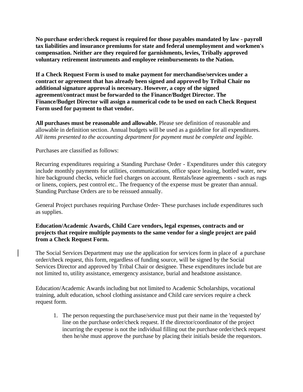**No purchase order/check request is required for those payables mandated by law - payroll tax liabilities and insurance premiums for state and federal unemployment and workmen's compensation. Neither are they required for garnishments, levies, Tribally approved voluntary retirement instruments and employee reimbursements to the Nation.**

**If a Check Request Form is used to make payment for merchandise/services under a contract or agreement that has already been signed and approved by Tribal Chair no additional signature approval is necessary. However, a copy of the signed agreement/contract must be forwarded to the Finance/Budget Director. The Finance/Budget Director will assign a numerical code to be used on each Check Request Form used for payment to that vendor.**

**All purchases must be reasonable and allowable.** Please see definition of reasonable and allowable in definition section. Annual budgets will be used as a guideline for all expenditures. *All items presented to the accounting department for payment must be complete and legible.*

Purchases are classified as follows:

Recurring expenditures requiring a Standing Purchase Order - Expenditures under this category include monthly payments for utilities, communications, office space leasing, bottled water, new hire background checks, vehicle fuel charges on account. Rentals/lease agreements - such as rugs or linens, copiers, pest control etc.. The frequency of the expense must be greater than annual. Standing Purchase Orders are to be reissued annually.

General Project purchases requiring Purchase Order- These purchases include expenditures such as supplies.

**Education/Academic Awards, Child Care vendors, legal expenses, contracts and or projects that require multiple payments to the same vendor for a single project are paid from a Check Request Form.**

The Social Services Department may use the application for services form in place of a purchase order/check request, this form, regardless of funding source, will be signed by the Social Services Director and approved by Tribal Chair or designee. These expenditures include but are not limited to, utility assistance, emergency assistance, burial and headstone assistance.

Education/Academic Awards including but not limited to Academic Scholarships, vocational training, adult education, school clothing assistance and Child care services require a check request form.

1. The person requesting the purchase/service must put their name in the 'requested by' line on the purchase order/check request. If the director/coordinator of the project incurring the expense is not the individual filling out the purchase order/check request then he/she must approve the purchase by placing their initials beside the requestors.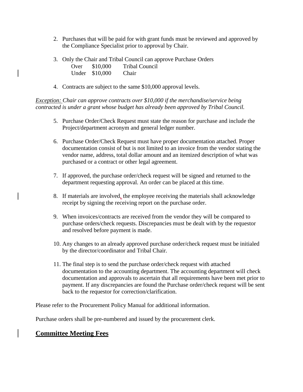- 2. Purchases that will be paid for with grant funds must be reviewed and approved by the Compliance Specialist prior to approval by Chair.
- 3. Only the Chair and Tribal Council can approve Purchase Orders Over \$10,000 Tribal Council Under \$10,000 Chair
- 4. Contracts are subject to the same \$10,000 approval levels.

*Exception: Chair can approve contracts over \$10,000 if the merchandise/service being contracted is under a grant whose budget has already been approved by Tribal Council.*

- 5. Purchase Order/Check Request must state the reason for purchase and include the Project/department acronym and general ledger number.
- 6. Purchase Order/Check Request must have proper documentation attached. Proper documentation consist of but is not limited to an invoice from the vendor stating the vendor name, address, total dollar amount and an itemized description of what was purchased or a contract or other legal agreement.
- 7. If approved, the purchase order/check request will be signed and returned to the department requesting approval. An order can be placed at this time.
- 8. If materials are involved, the employee receiving the materials shall acknowledge receipt by signing the receiving report on the purchase order.
- 9. When invoices/contracts are received from the vendor they will be compared to purchase orders/check requests. Discrepancies must be dealt with by the requestor and resolved before payment is made.
- 10. Any changes to an already approved purchase order/check request must be initialed by the director/coordinator and Tribal Chair.
- 11. The final step is to send the purchase order/check request with attached documentation to the accounting department. The accounting department will check documentation and approvals to ascertain that all requirements have been met prior to payment. If any discrepancies are found the Purchase order/check request will be sent back to the requestor for correction/clarification.

Please refer to the Procurement Policy Manual for additional information.

Purchase orders shall be pre-numbered and issued by the procurement clerk.

#### **Committee Meeting Fees**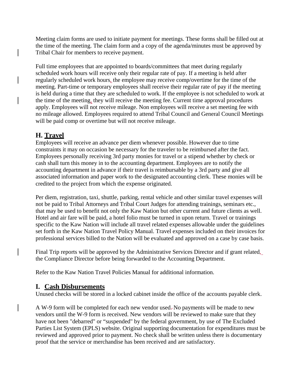Meeting claim forms are used to initiate payment for meetings. These forms shall be filled out at the time of the meeting. The claim form and a copy of the agenda/minutes must be approved by Tribal Chair for members to receive payment.

Full time employees that are appointed to boards/committees that meet during regularly scheduled work hours will receive only their regular rate of pay. If a meeting is held after regularly scheduled work hours, the employee may receive comp/overtime for the time of the meeting. Part-time or temporary employees shall receive their regular rate of pay if the meeting is held during a time that they are scheduled to work. If the employee is not scheduled to work at the time of the meeting, they will receive the meeting fee. Current time approval procedures apply. Employees will not receive mileage. Non employees will receive a set meeting fee with no mileage allowed. Employees required to attend Tribal Council and General Council Meetings will be paid comp or overtime but will not receive mileage.

## **H. Travel**

Employees will receive an advance per diem whenever possible. However due to time constraints it may on occasion be necessary for the traveler to be reimbursed after the fact. Employees personally receiving 3rd party monies for travel or a stipend whether by check or cash shall turn this money in to the accounting department. Employees are to notify the accounting department in advance if their travel is reimbursable by a 3rd party and give all associated information and paper work to the designated accounting clerk. These monies will be credited to the project from which the expense originated.

Per diem, registration, taxi, shuttle, parking, rental vehicle and other similar travel expenses will not be paid to Tribal Attorneys and Tribal Court Judges for attending trainings, seminars etc., that may be used to benefit not only the Kaw Nation but other current and future clients as well. Hotel and air fare will be paid, a hotel folio must be turned in upon return. Travel or trainings specific to the Kaw Nation will include all travel related expenses allowable under the guidelines set forth in the Kaw Nation Travel Policy Manual. Travel expenses included on their invoices for professional services billed to the Nation will be evaluated and approved on a case by case basis.

Final Trip reports will be approved by the Administrative Services Director and if grant related, the Compliance Director before being forwarded to the Accounting Department.

Refer to the Kaw Nation Travel Policies Manual for additional information.

#### **I. Cash Disbursements**

Unused checks will be stored in a locked cabinet inside the office of the accounts payable clerk.

A W-9 form will be completed for each new vendor used. No payments will be made to new vendors until the W-9 form is received. New vendors will be reviewed to make sure that they have not been "debarred" or "suspended" by the federal government, by use of The Excluded Parties List System (EPLS) website. Original supporting documentation for expenditures must be reviewed and approved prior to payment. No check shall be written unless there is documentary proof that the service or merchandise has been received and are satisfactory.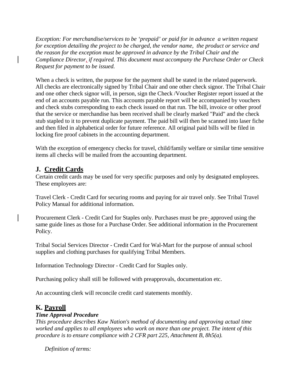*Exception: For merchandise/services to be 'prepaid' or paid for in advance a written request for exception detailing the project to be charged, the vendor name, the product or service and the reason for the exception must be approved in advance by the Tribal Chair and the Compliance Director, if required. This document must accompany the Purchase Order or Check Request for payment to be issued.*

When a check is written, the purpose for the payment shall be stated in the related paperwork. All checks are electronically signed by Tribal Chair and one other check signor. The Tribal Chair and one other check signor will, in person, sign the Check /Voucher Register report issued at the end of an accounts payable run. This accounts payable report will be accompanied by vouchers and check stubs corresponding to each check issued on that run. The bill, invoice or other proof that the service or merchandise has been received shall be clearly marked "Paid" and the check stub stapled to it to prevent duplicate payment. The paid bill will then be scanned into laser fiche and then filed in alphabetical order for future reference. All original paid bills will be filed in locking fire proof cabinets in the accounting department.

With the exception of emergency checks for travel, child/family welfare or similar time sensitive items all checks will be mailed from the accounting department.

## **J. Credit Cards**

Certain credit cards may be used for very specific purposes and only by designated employees. These employees are:

Travel Clerk - Credit Card for securing rooms and paying for air travel only. See Tribal Travel Policy Manual for additional information.

Procurement Clerk - Credit Card for Staples only. Purchases must be pre- approved using the same guide lines as those for a Purchase Order. See additional information in the Procurement Policy.

Tribal Social Services Director - Credit Card for Wal-Mart for the purpose of annual school supplies and clothing purchases for qualifying Tribal Members.

Information Technology Director - Credit Card for Staples only.

Purchasing policy shall still be followed with preapprovals, documentation etc.

An accounting clerk will reconcile credit card statements monthly.

## **K. Payroll**

#### *Time Approval Procedure*

*This procedure describes Kaw Nation's method of documenting and approving actual time worked and applies to all employees who work on more than one project. The intent of this procedure is to ensure compliance with 2 CFR part 225, Attachment B, 8h5(a).*

*Definition of terms:*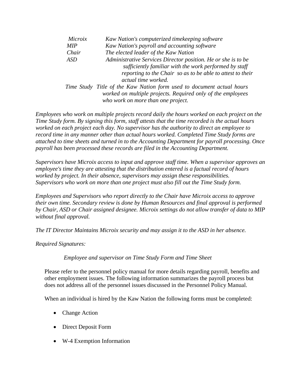| Microix    | Kaw Nation's computerized timekeeping software                        |
|------------|-----------------------------------------------------------------------|
| <b>MIP</b> | Kaw Nation's payroll and accounting software                          |
| Chair      | The elected leader of the Kaw Nation                                  |
| <b>ASD</b> | Administrative Services Director position. He or she is to be         |
|            | sufficiently familiar with the work performed by staff                |
|            | reporting to the Chair so as to be able to attest to their            |
|            | actual time worked.                                                   |
|            | Time Study Title of the Kaw Nation form used to document actual hours |
|            | worked on multiple projects. Required only of the employees           |
|            | who work on more than one project.                                    |

*Employees who work on multiple projects record daily the hours worked on each project on the Time Study form. By signing this form, staff attests that the time recorded is the actual hours worked on each project each day. No supervisor has the authority to direct an employee to record time in any manner other than actual hours worked. Completed Time Study forms are attached to time sheets and turned in to the Accounting Department for payroll processing. Once payroll has been processed these records are filed in the Accounting Department.*

*Supervisors have Microix access to input and approve staff time. When a supervisor approves an employee's time they are attesting that the distribution entered is a factual record of hours worked by project. In their absence, supervisors may assign these responsibilities. Supervisors who work on more than one project must also fill out the Time Study form.*

*Employees and Supervisors who report directly to the Chair have Microix access to approve their own time. Secondary review is done by Human Resources and final approval is performed by Chair, ASD or Chair assigned designee. Microix settings do not allow transfer of data to MIP without final approval.*

*The IT Director Maintains Microix security and may assign it to the ASD in her absence.* 

*Required Signatures:*

*Employee and supervisor on Time Study Form and Time Sheet*

Please refer to the personnel policy manual for more details regarding payroll, benefits and other employment issues. The following information summarizes the payroll process but does not address all of the personnel issues discussed in the Personnel Policy Manual.

When an individual is hired by the Kaw Nation the following forms must be completed:

- Change Action
- Direct Deposit Form
- W-4 Exemption Information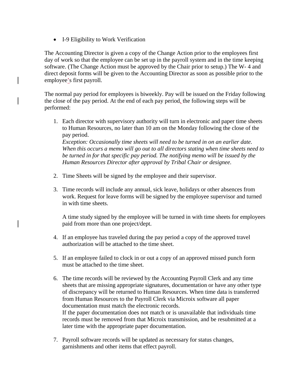I-9 Eligibility to Work Verification

The Accounting Director is given a copy of the Change Action prior to the employees first day of work so that the employee can be set up in the payroll system and in the time keeping software. (The Change Action must be approved by the Chair prior to setup.) The W- 4 and direct deposit forms will be given to the Accounting Director as soon as possible prior to the employee's first payroll.

The normal pay period for employees is biweekly. Pay will be issued on the Friday following the close of the pay period. At the end of each pay period, the following steps will be performed:

1. Each director with supervisory authority will turn in electronic and paper time sheets to Human Resources, no later than 10 am on the Monday following the close of the pay period.

*Exception: Occasionally time sheets will need to be turned in on an earlier date. When this occurs a memo will go out to all directors stating when time sheets need to be turned in for that specific pay period. The notifying memo will be issued by the Human Resources Director after approval by Tribal Chair or designee.*

- 2. Time Sheets will be signed by the employee and their supervisor.
- 3. Time records will include any annual, sick leave, holidays or other absences from work. Request for leave forms will be signed by the employee supervisor and turned in with time sheets.

A time study signed by the employee will be turned in with time sheets for employees paid from more than one project/dept.

- 4. If an employee has traveled during the pay period a copy of the approved travel authorization will be attached to the time sheet.
- 5. If an employee failed to clock in or out a copy of an approved missed punch form must be attached to the time sheet.
- 6. The time records will be reviewed by the Accounting Payroll Clerk and any time sheets that are missing appropriate signatures, documentation or have any other type of discrepancy will be returned to Human Resources. When time data is transferred from Human Resources to the Payroll Clerk via Microix software all paper documentation must match the electronic records. If the paper documentation does not match or is unavailable that individuals time records must be removed from that Microix transmission, and be resubmitted at a later time with the appropriate paper documentation.
- 7. Payroll software records will be updated as necessary for status changes, garnishments and other items that effect payroll.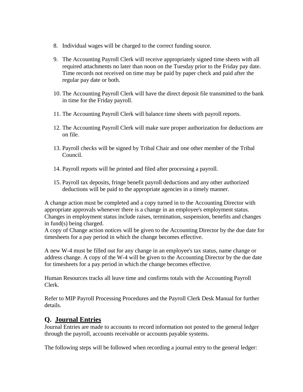- 8. Individual wages will be charged to the correct funding source.
- 9. The Accounting Payroll Clerk will receive appropriately signed time sheets with all required attachments no later than noon on the Tuesday prior to the Friday pay date. Time records not received on time may be paid by paper check and paid after the regular pay date or both.
- 10. The Accounting Payroll Clerk will have the direct deposit file transmitted to the bank in time for the Friday payroll.
- 11. The Accounting Payroll Clerk will balance time sheets with payroll reports.
- 12. The Accounting Payroll Clerk will make sure proper authorization for deductions are on file.
- 13. Payroll checks will be signed by Tribal Chair and one other member of the Tribal Council.
- 14. Payroll reports will be printed and filed after processing a payroll.
- 15. Payroll tax deposits, fringe benefit payroll deductions and any other authorized deductions will be paid to the appropriate agencies in a timely manner.

A change action must be completed and a copy turned in to the Accounting Director with appropriate approvals whenever there is a change in an employee's employment status. Changes in employment status include raises, termination, suspension, benefits and changes in fund(s) being charged.

A copy of Change action notices will be given to the Accounting Director by the due date for timesheets for a pay period in which the change becomes effective.

A new W-4 must be filled out for any change in an employee's tax status, name change or address change. A copy of the W-4 will be given to the Accounting Director by the due date for timesheets for a pay period in which the change becomes effective.

Human Resources tracks all leave time and confirms totals with the Accounting Payroll Clerk.

Refer to MIP Payroll Processing Procedures and the Payroll Clerk Desk Manual for further details.

## **Q. Journal Entries**

Journal Entries are made to accounts to record information not posted to the general ledger through the payroll, accounts receivable or accounts payable systems.

The following steps will be followed when recording a journal entry to the general ledger: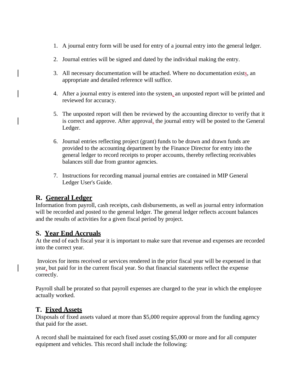- 1. A journal entry form will be used for entry of a journal entry into the general ledger.
- 2. Journal entries will be signed and dated by the individual making the entry.
- 3. All necessary documentation will be attached. Where no documentation exists, an appropriate and detailed reference will suffice.
- 4. After a journal entry is entered into the system, an unposted report will be printed and reviewed for accuracy.
- 5. The unposted report will then be reviewed by the accounting director to verify that it is correct and approve. After approval, the journal entry will be posted to the General Ledger.
- 6. Journal entries reflecting project (grant) funds to be drawn and drawn funds are provided to the accounting department by the Finance Director for entry into the general ledger to record receipts to proper accounts, thereby reflecting receivables balances still due from grantor agencies.
- 7. Instructions for recording manual journal entries are contained in MIP General Ledger User's Guide.

## **R. General Ledger**

Information from payroll, cash receipts, cash disbursements, as well as journal entry information will be recorded and posted to the general ledger. The general ledger reflects account balances and the results of activities for a given fiscal period by project.

#### **S. Year End Accruals**

At the end of each fiscal year it is important to make sure that revenue and expenses are recorded into the correct year.

Invoices for items received or services rendered in the prior fiscal year will be expensed in that year, but paid for in the current fiscal year. So that financial statements reflect the expense correctly.

Payroll shall be prorated so that payroll expenses are charged to the year in which the employee actually worked.

#### **T. Fixed Assets**

Disposals of fixed assets valued at more than \$5,000 require approval from the funding agency that paid for the asset.

A record shall be maintained for each fixed asset costing \$5,000 or more and for all computer equipment and vehicles. This record shall include the following: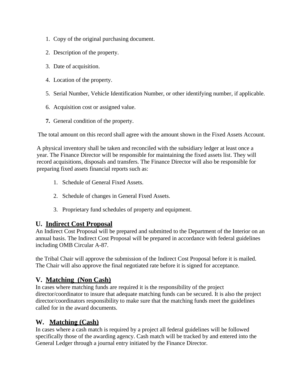- 1. Copy of the original purchasing document.
- 2. Description of the property.
- 3. Date of acquisition.
- 4. Location of the property.
- 5. Serial Number, Vehicle Identification Number, or other identifying number, if applicable.
- 6. Acquisition cost or assigned value.
- **7.** General condition of the property.

The total amount on this record shall agree with the amount shown in the Fixed Assets Account.

A physical inventory shall be taken and reconciled with the subsidiary ledger at least once a year. The Finance Director will be responsible for maintaining the fixed assets list. They will record acquisitions, disposals and transfers. The Finance Director will also be responsible for preparing fixed assets financial reports such as:

- 1. Schedule of General Fixed Assets.
- 2. Schedule of changes in General Fixed Assets.
- 3. Proprietary fund schedules of property and equipment.

#### **U. Indirect Cost Proposal**

An Indirect Cost Proposal will be prepared and submitted to the Department of the Interior on an annual basis. The Indirect Cost Proposal will be prepared in accordance with federal guidelines including OMB Circular A-87.

the Tribal Chair will approve the submission of the Indirect Cost Proposal before it is mailed. The Chair will also approve the final negotiated rate before it is signed for acceptance.

## **V. Matching (Non Cash)**

In cases where matching funds are required it is the responsibility of the project director/coordinator to insure that adequate matching funds can be secured. It is also the project director/coordinators responsibility to make sure that the matching funds meet the guidelines called for in the award documents.

## **W. Matching (Cash)**

In cases where a cash match is required by a project all federal guidelines will be followed specifically those of the awarding agency. Cash match will be tracked by and entered into the General Ledger through a journal entry initiated by the Finance Director.